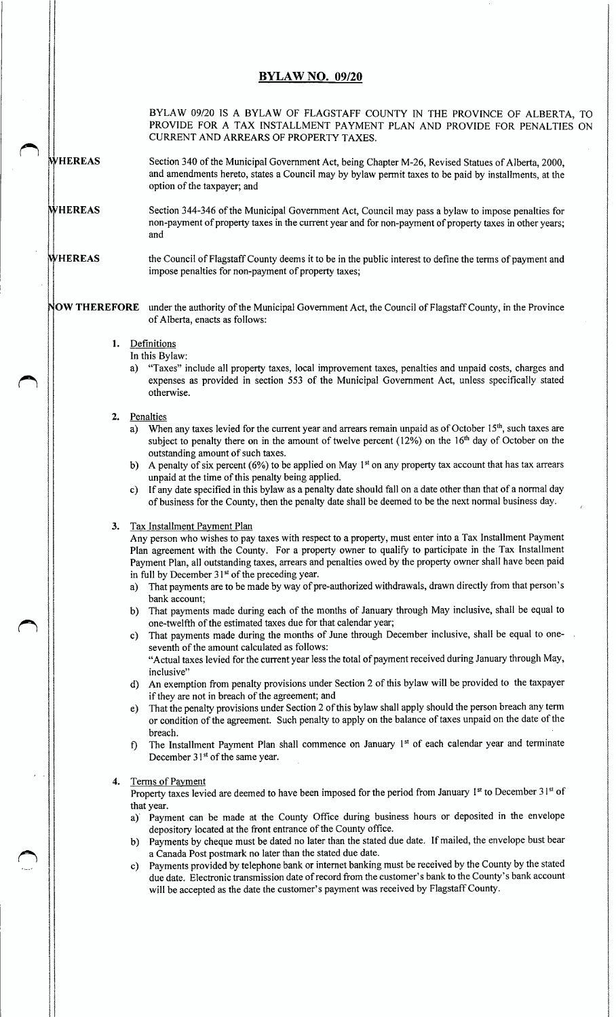## **BYLAW NO. 09/20**

BYLAW 09/20 IS A BYLAW OF FLAGSTAFF COUNTY IN THE PROVINCE OF ALBERTA, TO PROVIDE FOR A TAX INSTALLMENT PAYMENT PLAN AND PROVIDE FOR PENALTIES ON CURRENT AND ARREARS OF PROPERTY TAXES.

WHEREAS Section 340 of the Municipal Government Act, being Chapter M-26, Revised Statues of Alberta, 2000, and amendments hereto, states a Council may by bylaw permit taxes to be paid by installments, at the option of the taxpayer; and

- HEREAS Section 344-346 of the Municipal Government Act, Council may pass a bylaw to impose penalties for non- payment of property taxes in the current year and for non- payment of property taxes in other years; and
- HEREAS the Council of Flagstaff County deems it to be in the public interest to define the terms of payment and impose penalties for non-payment of property taxes;

OW THEREFORE under the authority of the Municipal Government Act, the Council of Flagstaff County, in the Province of Alberta, enacts as follows:

- 1. Definitions
	- In this Bylaw:
	- a) "Taxes" include all property taxes, local improvement taxes, penalties and unpaid costs, charges and expenses as provided in section 553 of the Municipal Government Act, unless specifically stated otherwise.

## 2. Penalties

- a) When any taxes levied for the current year and arrears remain unpaid as of October 15<sup>th</sup>, such taxes are subject to penalty there on in the amount of twelve percent (12%) on the 16<sup>th</sup> day of October on the outstanding amount of such taxes.
- b) A penalty of six percent ( $6\%$ ) to be applied on May 1<sup>st</sup> on any property tax account that has tax arrears unpaid at the time of this penalty being applied.
- c) If any date specified in this bylaw as a penalty date should fall on a date other than that of a normal day of business for the County, then the penalty date shall be deemed to be the next normal business day.

## 3. Tax Installment Payment Plan

Any person who wishes to pay taxes with respect to a property, must enter into a Tax Installment Payment Plan agreement with the County. For a property owner to qualify to participate in the Tax Installment Payment Plan, all outstanding taxes, arrears and penalties owed by the property owner shall have been paid

- in full by December  $31^{st}$  of the preceding year.<br>a) That payments are to be made by way of pr That payments are to be made by way of pre-authorized withdrawals, drawn directly from that person's bank account;
- b) That payments made during each of the months of January through May inclusive, shall be equal to one -twelfth of the estimated taxes due for that calendar year;
- c) That payments made during the months of June through December inclusive, shall be equal to oneseventh of the amount calculated as follows:

Actual taxes levied for the current year less the total of payment received during January through May, inclusive"

- d) An exemption from penalty provisions under Section 2 of this bylaw will be provided to the taxpayer if they are not in breach of the agreement; and
- That the penalty provisions under Section 2 of this bylaw shall apply should the person breach any term or condition of the agreement. Such penalty to apply on the balance of taxes unpaid on the date of the breach.
- f) The Installment Payment Plan shall commence on January 1" of each calendar year and terminate December  $31<sup>st</sup>$  of the same year.

## Terms of Payment

Property taxes levied are deemed to have been imposed for the period from January 1<sup>st</sup> to December 31<sup>st</sup> of that year.

- a) Payment can be made at the County Office during business hours or deposited in the envelope depository located at the front entrance of the County office.
- b) Payments by cheque must be dated no later than the stated due date. If mailed, the envelope bust bear a Canada Post postmark no later than the stated due date.
- c) Payments provided by telephone bank or internet banking must be received by the County by the stated due date. Electronic transmission date of record from the customer's bank to the County's bank account will be accepted as the date the customer's payment was received by Flagstaff County.